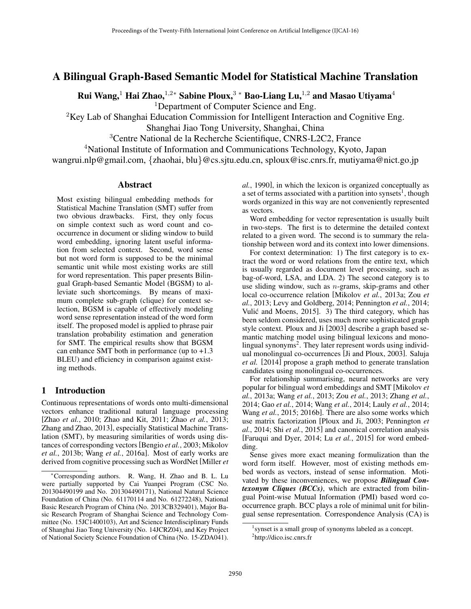# A Bilingual Graph-Based Semantic Model for Statistical Machine Translation

Rui Wang,<sup>1</sup> Hai Zhao,<sup>1,2</sup>\* Sabine Ploux,<sup>3</sup> \* Bao-Liang Lu,<sup>1,2</sup> and Masao Utiyama<sup>4</sup>

<sup>1</sup>Department of Computer Science and Eng.

 ${}^{2}$ Key Lab of Shanghai Education Commission for Intelligent Interaction and Cognitive Eng.

Shanghai Jiao Tong University, Shanghai, China

<sup>3</sup>Centre National de la Recherche Scientifique, CNRS-L2C2, France

<sup>4</sup>National Institute of Information and Communications Technology, Kyoto, Japan

wangrui.nlp@gmail.com, *{*zhaohai, blu*}*@cs.sjtu.edu.cn, sploux@isc.cnrs.fr, mutiyama@nict.go.jp

## Abstract

Most existing bilingual embedding methods for Statistical Machine Translation (SMT) suffer from two obvious drawbacks. First, they only focus on simple context such as word count and cooccurrence in document or sliding window to build word embedding, ignoring latent useful information from selected context. Second, word sense but not word form is supposed to be the minimal semantic unit while most existing works are still for word representation. This paper presents Bilingual Graph-based Semantic Model (BGSM) to alleviate such shortcomings. By means of maximum complete sub-graph (clique) for context selection, BGSM is capable of effectively modeling word sense representation instead of the word form itself. The proposed model is applied to phrase pair translation probability estimation and generation for SMT. The empirical results show that BGSM can enhance SMT both in performance (up to +1.3 BLEU) and efficiency in comparison against existing methods.

# 1 Introduction

Continuous representations of words onto multi-dimensional vectors enhance traditional natural language processing [Zhao *et al.*, 2010; Zhao and Kit, 2011; Zhao *et al.*, 2013; Zhang and Zhao, 2013], especially Statistical Machine Translation (SMT), by measuring similarities of words using distances of corresponding vectors[Bengio *et al.*, 2003; Mikolov *et al.*, 2013b; Wang *et al.*, 2016a]. Most of early works are derived from cognitive processing such as WordNet [Miller *et* *al.*, 1990], in which the lexicon is organized conceptually as a set of terms associated with a partition into synsets<sup>1</sup>, though words organized in this way are not conveniently represented as vectors.

Word embedding for vector representation is usually built in two-steps. The first is to determine the detailed context related to a given word. The second is to summary the relationship between word and its context into lower dimensions.

For context determination: 1) The first category is to extract the word or word relations from the entire text, which is usually regarded as document level processing, such as bag-of-word, LSA, and LDA. 2) The second category is to use sliding window, such as *n*-grams, skip-grams and other local co-occurrence relation [Mikolov *et al.*, 2013a; Zou *et al.*, 2013; Levy and Goldberg, 2014; Pennington *et al.*, 2014; Vulić and Moens, 2015]. 3) The third category, which has been seldom considered, uses much more sophisticated graph style context. Ploux and Ji [2003] describe a graph based semantic matching model using bilingual lexicons and monolingual synonyms<sup>2</sup>. They later represent words using individual monolingual co-occurrences [Ji and Ploux, 2003]. Saluja *et al.* [2014] propose a graph method to generate translation candidates using monolingual co-occurrences.

For relationship summarising, neural networks are very popular for bilingual word embeddings and SMT [Mikolov *et al.*, 2013a; Wang *et al.*, 2013; Zou *et al.*, 2013; Zhang *et al.*, 2014; Gao *et al.*, 2014; Wang *et al.*, 2014; Lauly *et al.*, 2014; Wang *et al.*, 2015; 2016b]. There are also some works which use matrix factorization [Ploux and Ji, 2003; Pennington *et al.*, 2014; Shi *et al.*, 2015] and canonical correlation analysis [Faruqui and Dyer, 2014; Lu *et al.*, 2015] for word embedding.

Sense gives more exact meaning formulization than the word form itself. However, most of existing methods embed words as vectors, instead of sense information. Motivated by these inconveniences, we propose *Bilingual Contexonym Cliques (BCCs)*, which are extracted from bilingual Point-wise Mutual Information (PMI) based word cooccurrence graph. BCC plays a role of minimal unit for bilingual sense representation. Correspondence Analysis (CA) is

<sup>⇤</sup>Corresponding authors. R. Wang, H. Zhao and B. L. Lu were partially supported by Cai Yuanpei Program (CSC No. 201304490199 and No. 201304490171), National Natural Science Foundation of China (No. 61170114 and No. 61272248), National Basic Research Program of China (No. 2013CB329401), Major Basic Research Program of Shanghai Science and Technology Committee (No. 15JC1400103), Art and Science Interdisciplinary Funds of Shanghai Jiao Tong University (No. 14JCRZ04), and Key Project of National Society Science Foundation of China (No. 15-ZDA041).

<sup>&</sup>lt;sup>1</sup> synset is a small group of synonyms labeled as a concept.

<sup>&</sup>lt;sup>2</sup>http://dico.isc.cnrs.fr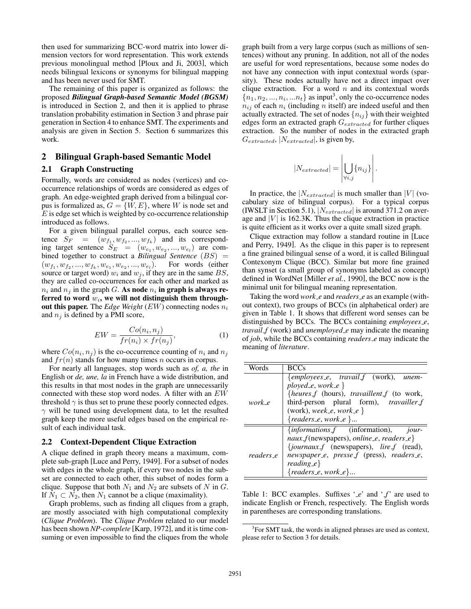then used for summarizing BCC-word matrix into lower dimension vectors for word representation. This work extends previous monolingual method [Ploux and Ji, 2003], which needs bilingual lexicons or synonyms for bilingual mapping and has been never used for SMT.

The remaining of this paper is organized as follows: the proposed *Bilingual Graph-based Semantic Model (BGSM)* is introduced in Section 2, and then it is applied to phrase translation probability estimation in Section 3 and phrase pair generation in Section 4 to enhance SMT. The experiments and analysis are given in Section 5. Section 6 summarizes this work.

# 2 Bilingual Graph-based Semantic Model

# 2.1 Graph Constructing

Formally, words are considered as nodes (vertices) and cooccurrence relationships of words are considered as edges of graph. An edge-weighted graph derived from a bilingual corpus is formalized as,  $G = \{W, E\}$ , where *W* is node set and *E* is edge set which is weighted by co-occurrence relationship introduced as follows.

For a given bilingual parallel corpus, each source sentence  $S_F = (w_{f_1}, w_{f_2}, ..., w_{f_k})$  and its corresponding target sentence  $S_E = (w_{e_1}, w_{e_2}, ..., w_{e_l})$  are combined together to construct a *Bilingual Sentence* (*BS*) =  $(w_{f_1}, w_{f_2}, ..., w_{f_k}, w_{e_1}, w_{e_2}, ..., w_{e_l})$ . For words (either source or target word)  $w_i$  and  $w_j$ , if they are in the same  $BS$ , they are called co-occurrences for each other and marked as  $n_i$  and  $n_j$  in the graph *G*. As node  $n_i$  in graph is always referred to word *wi*, we will not distinguish them throughout this paper. The *Edge Weight* (*EW*) connecting nodes *n<sup>i</sup>* and *n<sup>j</sup>* is defined by a PMI score,

$$
EW = \frac{Co(n_i, n_j)}{fr(n_i) \times fr(n_j)},
$$
\n(1)

where  $Co(n_i, n_j)$  is the co-occurrence counting of  $n_i$  and  $n_j$ and *fr*(*n*) stands for how many times *n* occurs in corpus.

For nearly all languages, stop words such as *of, a, the* in English or *de, une, la* in French have a wide distribution, and this results in that most nodes in the graph are unnecessarily connected with these stop word nodes. A filter with an *EW* threshold  $\gamma$  is thus set to prune these poorly connected edges.  $\gamma$  will be tuned using development data, to let the resulted graph keep the more useful edges based on the empirical result of each individual task.

#### 2.2 Context-Dependent Clique Extraction

A clique defined in graph theory means a maximum, complete sub-graph [Luce and Perry, 1949]. For a subset of nodes with edges in the whole graph, if every two nodes in the subset are connected to each other, this subset of nodes form a clique. Suppose that both  $N_1$  and  $N_2$  are subsets of  $N$  in  $G$ . If  $N_1 \subset N_2$ , then  $N_1$  cannot be a clique (maximality).

Graph problems, such as finding all cliques from a graph, are mostly associated with high computational complexity (*Clique Problem*). The *Clique Problem* related to our model has been shown *NP-complete* [Karp, 1972], and it is time consuming or even impossible to find the cliques from the whole graph built from a very large corpus (such as millions of sentences) without any pruning. In addition, not all of the nodes are useful for word representations, because some nodes do not have any connection with input contextual words (sparsity). These nodes actually have not a direct impact over clique extraction. For a word *n* and its contextual words  ${n_1, n_2, ..., n_i, ...n_t}$  as input<sup>3</sup>, only the co-occurrence nodes  $n_{ij}$  of each  $n_i$  (including *n* itself) are indeed useful and then actually extracted. The set of nodes  ${n_{ij}}$  with their weighted edges form an extracted graph *Gextracted* for further cliques extraction. So the number of nodes in the extracted graph *Gextracted*, *|Nextracted|*, is given by,

$$
|N_{extracted}| = \left| \bigcup_{\forall i,j} \{ n_{ij} \} \right|.
$$

In practice, the  $|N_{extracted}|$  is much smaller than  $|V|$  (vocabulary size of bilingual corpus). For a typical corpus (IWSLT in Section 5.1), *|Nextracted|* is around 371.2 on average and  $|V|$  is 162.3K. Thus the clique extraction in practice is quite efficient as it works over a quite small sized graph.

Clique extraction may follow a standard routine in [Luce and Perry, 1949]. As the clique in this paper is to represent a fine grained bilingual sense of a word, it is called Bilingual Contexonym Clique (BCC). Similar but more fine grained than synset (a small group of synonyms labeled as concept) defined in WordNet [Miller *et al.*, 1990], the BCC now is the minimal unit for bilingual meaning representation.

Taking the word *work e* and *readers e* as an example (without context), two groups of BCCs (in alphabetical order) are given in Table 1. It shows that different word senses can be distinguished by BCCs. The BCCs containing *employees e*, *travail f* (work) and *unemployed e* may indicate the meaning of *job*, while the BCCs containing *readers e* may indicate the meaning of *literature*.

| Words     | RCCs                                                    |
|-----------|---------------------------------------------------------|
|           | $\{employees_e, \; \; travail_f \; (work), \; \; unem-$ |
|           | ployed_e, work_e $\}$                                   |
|           | {heures_f (hours), travaillent_f (to work,              |
| work e    | third-person plural form), <i>travailler_f</i>          |
|           | (work), week_e, work_e $\}$                             |
|           | ${readers_e, work_e}.$                                  |
|           | $\{informations_f \}$ (information), jour-              |
|           | $naux_f(newspapers)$ , online_e, readers_e}             |
|           | {journaux_f (newspapers), lire_f (read),                |
| readers_e | newspaper_e, presse_f (press), readers_e,               |
|           | $reading_e\}$                                           |
|           | ${readers_e, work_e}.$                                  |

Table 1: BCC examples. Suffixes '\_e' and '\_f' are used to indicate English or French, respectively. The English words in parentheses are corresponding translations.

<sup>&</sup>lt;sup>3</sup>For SMT task, the words in aligned phrases are used as context, please refer to Section 3 for details.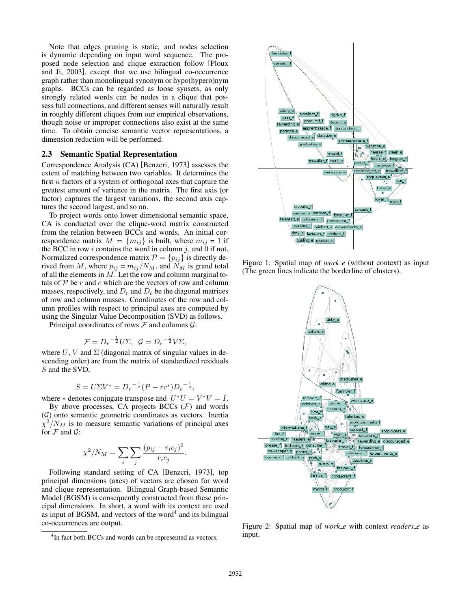Note that edges pruning is static, and nodes selection is dynamic depending on input word sequence. The proposed node selection and clique extraction follow [Ploux and Ji, 2003], except that we use bilingual co-occurrence graph rather than monolingual synonym or hypo(hypero)nym graphs. BCCs can be regarded as loose synsets, as only strongly related words can be nodes in a clique that possess full connections, and different senses will naturally result in roughly different cliques from our empirical observations, though noise or improper connections also exist at the same time. To obtain concise semantic vector representations, a dimension reduction will be performed.

#### 2.3 Semantic Spatial Representation

Correspondence Analysis (CA) [Benzcri, 1973] assesses the extent of matching between two variables. It determines the first *n* factors of a system of orthogonal axes that capture the greatest amount of variance in the matrix. The first axis (or factor) captures the largest variations, the second axis captures the second largest, and so on.

To project words onto lower dimensional semantic space, CA is conducted over the clique-word matrix constructed from the relation between BCCs and words. An initial correspondence matrix  $M = \{m_{ij}\}\$ is built, where  $m_{ij} = 1$  if the BCC in row  $i$  contains the word in column  $j$ , and 0 if not. Normalized correspondence matrix  $P = \{p_{ij}\}\$ is directly derived from *M*, where  $p_{ij} = m_{ij}/N_M$ , and  $\tilde{N_M}$  is grand total of all the elements in *M*. Let the row and column marginal totals of  $P$  be  $r$  and  $c$  which are the vectors of row and column masses, respectively, and  $D_r$  and  $D_c$  be the diagonal matrices of row and column masses. Coordinates of the row and column profiles with respect to principal axes are computed by using the Singular Value Decomposition (SVD) as follows.

Principal coordinates of rows *F* and columns *G*:

$$
\mathcal{F} = D_r^{-\frac{1}{2}} U \Sigma, \ \mathcal{G} = D_c^{-\frac{1}{2}} V \Sigma,
$$

where U, V and  $\Sigma$  (diagonal matrix of singular values in descending order) are from the matrix of standardized residuals *S* and the SVD,

$$
S = U\Sigma V^* = D_r^{-\frac{1}{2}}(P - rc^*)D_c^{-\frac{1}{2}},
$$

where  $*$  denotes conjugate transpose and  $U^*U = V^*V = I$ .

By above processes, CA projects  $BCCs$  ( $F$ ) and words (*G*) onto semantic geometric coordinates as vectors. Inertia  $\chi^2/N_M$  is to measure semantic variations of principal axes for  $F$  and  $G$ :

$$
\chi^2/N_M = \sum_i \sum_j \frac{(p_{ij} - r_i c_j)^2}{r_i c_j}.
$$

Following standard setting of CA [Benzcri, 1973], top principal dimensions (axes) of vectors are chosen for word and clique representation. Bilingual Graph-based Semantic Model (BGSM) is consequently constructed from these principal dimensions. In short, a word with its context are used as input of BGSM, and vectors of the word<sup>4</sup> and its bilingual co-occurrences are output.



Figure 1: Spatial map of *work\_e* (without context) as input (The green lines indicate the borderline of clusters).



Figure 2: Spatial map of *work\_e* with context *readers\_e* as input.

<sup>&</sup>lt;sup>4</sup>In fact both BCCs and words can be represented as vectors.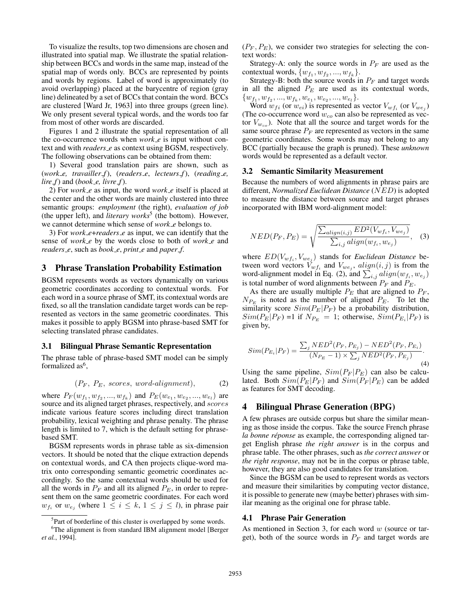To visualize the results, top two dimensions are chosen and illustrated into spatial map. We illustrate the spatial relationship between BCCs and words in the same map, instead of the spatial map of words only. BCCs are represented by points and words by regions. Label of word is approximately (to avoid overlapping) placed at the barycentre of region (gray line) delineated by a set of BCCs that contain the word. BCCs are clustered [Ward Jr, 1963] into three groups (green line). We only present several typical words, and the words too far from most of other words are discarded.

Figures 1 and 2 illustrate the spatial representation of all the co-occurrence words when *work e* is input without context and with *readers e* as context using BGSM, respectively. The following observations can be obtained from them:

1) Several good translation pairs are shown, such as (*work e, travailler f*), (*readers e*, *lecteurs f*), (*reading e, lire*  $f$ ) and (*book\_e, livre*  $f$ ).

2) For *work e* as input, the word *work e* itself is placed at the center and the other words are mainly clustered into three semantic groups: *employment* (the right), *evaluation of job* (the upper left), and *literary works*<sup>5</sup> (the bottom). However, we cannot determine which sense of *work e* belongs to.

3) For *work e*+*readers e* as input, we can identify that the sense of *work e* by the words close to both of *work e* and *readers e*, such as *book e*, *print e* and *paper f*.

# 3 Phrase Translation Probability Estimation

BGSM represents words as vectors dynamically on various geometric coordinates according to contextual words. For each word in a source phrase of SMT, its contextual words are fixed, so all the translation candidate target words can be represented as vectors in the same geometric coordinates. This makes it possible to apply BGSM into phrase-based SMT for selecting translated phrase candidates.

#### 3.1 Bilingual Phrase Semantic Representation

The phrase table of phrase-based SMT model can be simply formalized as<sup> $6$ </sup>,

$$
(P_F, P_E, scores, word-alignment), \t(2)
$$

where  $P_F(w_{f_1}, w_{f_2}, ..., w_{f_k})$  and  $P_E(w_{e_1}, w_{e_2}, ..., w_{e_l})$  are source and its aligned target phrases, respectively, and *scores* indicate various feature scores including direct translation probability, lexical weighting and phrase penalty. The phrase length is limited to 7, which is the default setting for phrasebased SMT.

BGSM represents words in phrase table as six-dimension vectors. It should be noted that the clique extraction depends on contextual words, and CA then projects clique-word matrix onto corresponding semantic geometric coordinates accordingly. So the same contextual words should be used for all the words in  $P_F$  and all its aligned  $P_E$ , in order to represent them on the same geometric coordinates. For each word  $w_{f_i}$  or  $w_{e_j}$  (where  $1 \leq i \leq k$ ,  $1 \leq j \leq l$ ), in phrase pair  $(P_F, P_E)$ , we consider two strategies for selecting the context words:

Strategy-A: only the source words in  $P_F$  are used as the contextual words,  $\{w_{f_1}, w_{f_2}, ..., w_{f_k}\}.$ 

Strategy-B: both the source words in  $P_F$  and target words in all the aligned *P<sup>E</sup>* are used as its contextual words,  $\{w_{f_1}, w_{f_2}, ..., w_{f_k}, w_{e_1}, w_{e_2}, ..., w_{e_l}\}.$ 

Word  $w_{fi}$  (or  $w_{ei}$ ) is represented as vector  $V_{wf_i}$  (or  $V_{we_i}$ ) (The co-occurrence word *wco* can also be represented as vector  $V_{w_{co}}$ ). Note that all the source and target words for the same source phrase  $P_F$  are represented as vectors in the same geometric coordinates. Some words may not belong to any BCC (partially because the graph is pruned). These *unknown* words would be represented as a default vector.

#### 3.2 Semantic Similarity Measurement

Because the numbers of word alignments in phrase pairs are different, *Normalized Euclidean Distance* (*NED*) is adopted to measure the distance between source and target phrases incorporated with IBM word-alignment model:

$$
NED(P_F, P_E) = \sqrt{\frac{\sum_{align(i,j)} ED^2(V_{wf_i}, V_{we_j})}{\sum_{i,j} align(w_{f_i}, w_{e_j})}},
$$
(3)

where  $ED(V_{wf_i}, V_{we_j})$  stands for *Euclidean Distance* between word vectors  $V_{wf_i}$  and  $V_{we_j}$ ,  $align(i, j)$  is from the word-alignment model in Eq. (2), and  $\sum_{i,j}$  *align*( $w_{f_i}, w_{e_j}$ ) is total number of word alignments between  $P_F$  and  $P_E$ .

As there are usually multiple  $P_E$  that are aligned to  $P_F$ ,  $N_{P_E}$  is noted as the number of aligned  $P_E$ . To let the similarity score  $Sim(P_E|P_F)$  be a probability distribution,  $Sim(P_E|P_F) = 1$  if  $N_{P_E} = 1$ ; otherwise,  $Sim(P_{E_i}|P_F)$  is given by,

$$
Sim(P_{E_i}|P_F) = \frac{\sum_j NED^2(P_F, P_{E_j}) - NED^2(P_F, P_{E_i})}{(N_{P_E} - 1) \times \sum_j NED^2(P_F, P_{E_j})}.
$$
\n(4)

Using the same pipeline,  $Sim(P_F|P_E)$  can also be calculated. Both  $Sim(P_E|P_F)$  and  $Sim(P_F|P_E)$  can be added as features for SMT decoding.

### 4 Bilingual Phrase Generation (BPG)

A few phrases are outside corpus but share the similar meaning as those inside the corpus. Take the source French phrase *la bonne réponse* as example, the corresponding aligned target English phrase *the right answer* is in the corpus and phrase table. The other phrases, such as *the correct answer* or *the right response*, may not be in the corpus or phrase table, however, they are also good candidates for translation.

Since the BGSM can be used to represent words as vectors and measure their similarities by computing vector distance, it is possible to generate new (maybe better) phrases with similar meaning as the original one for phrase table.

#### 4.1 Phrase Pair Generation

As mentioned in Section 3, for each word *w* (source or target), both of the source words in  $P_F$  and target words are

<sup>&</sup>lt;sup>5</sup>Part of borderline of this cluster is overlapped by some words.

<sup>6</sup> The alignment is from standard IBM alignment model [Berger *et al.*, 1994].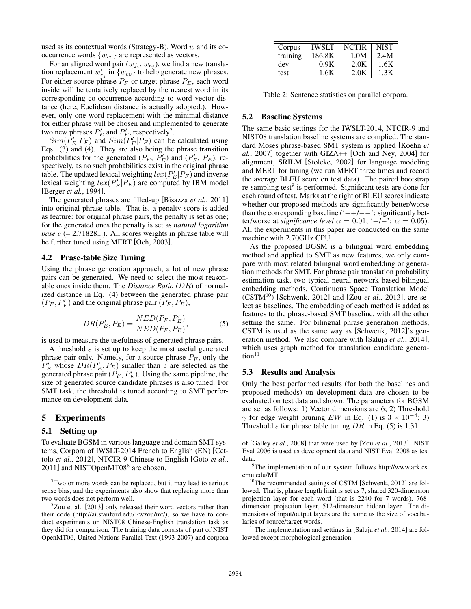used as its contextual words (Strategy-B). Word *w* and its cooccurrence words  $\{w_{co}\}$  are represented as vectors.

For an aligned word pair  $(w_{f_i}, w_{e_j})$ , we find a new translation replacement  $w'_{e_j}$  in  $\{w_{co}\}$  to help generate new phrases. For either source phrase *P<sup>F</sup>* or target phrase *PE*, each word inside will be tentatively replaced by the nearest word in its corresponding co-occurrence according to word vector distance (here, Euclidean distance is actually adopted.). However, only one word replacement with the minimal distance for either phrase will be chosen and implemented to generate two new phrases  $P'_E$  and  $P'_F$ , respectively<sup>7</sup>.

 $Sim(P'_E|P_F)$  and  $Sim(P'_F|P_E)$  can be calculated using Eqs. (3) and (4). They are also being the phrase transition probabilities for the generated  $(P_F, P'_E)$  and  $(P'_F, P_E)$ , respectively, as no such probabilities exist in the original phrase table. The updated lexical weighting  $lex(P'_E|P_F)$  and inverse lexical weighting  $lex(P'_F|P_E)$  are computed by IBM model [Berger *et al.*, 1994].

The generated phrases are filled-up [Bisazza *et al.*, 2011] into original phrase table. That is, a penalty score is added as feature: for original phrase pairs, the penalty is set as one; for the generated ones the penalty is set as *natural logarithm base*  $e$  (= 2.71828...). All scores weights in phrase table will be further tuned using MERT [Och, 2003].

#### 4.2 Prase-table Size Tuning

Using the phrase generation approach, a lot of new phrase pairs can be generated. We need to select the most reasonable ones inside them. The *Distance Ratio* (*DR*) of normalized distance in Eq. (4) between the generated phrase pair  $(P_F, P'_E)$  and the original phrase pair  $(P_F, P_E)$ ,

$$
DR(P'_E, P_E) = \frac{NED(P_F, P'_E)}{NED(P_F, P_E)},
$$
\n<sup>(5)</sup>

is used to measure the usefulness of generated phrase pairs.

A threshold  $\varepsilon$  is set up to keep the most useful generated phrase pair only. Namely, for a source phrase *P<sup>F</sup>* , only the  $P'_E$  whose  $DR(P'_E, P_E)$  smaller than  $\varepsilon$  are selected as the generated phrase pair  $(P_F, P'_E)$ . Using the same pipeline, the size of generated source candidate phrases is also tuned. For SMT task, the threshold is tuned according to SMT performance on development data.

### 5 Experiments

#### 5.1 Setting up

To evaluate BGSM in various language and domain SMT systems, Corpora of IWSLT-2014 French to English (EN) [Cettolo *et al.*, 2012], NTCIR-9 Chinese to English [Goto *et al.*, 2011] and NISTOpenMT08<sup>8</sup> are chosen.

| Corpus   | <b>IWSLT</b> | <b>NCTIR</b> | NIST |
|----------|--------------|--------------|------|
| training | 186.8K       | 1.0M         | 2.4M |
| dev      | 0.9K         | 2.0K         | 1.6K |
| test     | 1.6K         | 2.0K         | 1.3K |

Table 2: Sentence statistics on parallel corpora.

#### 5.2 Baseline Systems

The same basic settings for the IWSLT-2014, NTCIR-9 and NIST08 translation baseline systems are complied. The standard Moses phrase-based SMT system is applied [Koehn *et al.*, 2007] together with GIZA++ [Och and Ney, 2004] for alignment, SRILM [Stolcke, 2002] for language modeling and MERT for tuning (we run MERT three times and record the average BLEU score on test data). The paired bootstrap re-sampling test $9$  is performed. Significant tests are done for each round of test. Marks at the right of BLEU scores indicate whether our proposed methods are significantly better/worse than the corresponding baseline  $(*++--$ : significantly better/worse at *significance level*  $\alpha = 0.01$ ; '+/-':  $\alpha = 0.05$ ). All the experiments in this paper are conducted on the same machine with 2.70GHz CPU.

As the proposed BGSM is a bilingual word embedding method and applied to SMT as new features, we only compare with most related bilingual word embedding or generation methods for SMT. For phrase pair translation probability estimation task, two typical neural network based bilingual embedding methods, Continuous Space Translation Model  $(CSTM<sup>10</sup>)$  [Schwenk, 2012] and [Zou *et al.*, 2013], are select as baselines. The embedding of each method is added as features to the phrase-based SMT baseline, with all the other setting the same. For bilingual phrase generation methods, CSTM is used as the same way as [Schwenk, 2012]'s generation method. We also compare with [Saluja *et al.*, 2014], which uses graph method for translation candidate genera $tion<sup>11</sup>$ .

#### 5.3 Results and Analysis

Only the best performed results (for both the baselines and proposed methods) on development data are chosen to be evaluated on test data and shown. The parameters for BGSM are set as follows: 1) Vector dimensions are 6; 2) Threshold  $\gamma$  for edge weight pruning *EW* in Eq. (1) is  $3 \times 10^{-4}$ ; 3) Threshold  $\varepsilon$  for phrase table tuning DR in Eq. (5) is 1.31.

<sup>11</sup>The implementation and settings in [Saluja  $et$   $al., 2014$ ] are followed except morphological generation.

 $7$ Two or more words can be replaced, but it may lead to serious sense bias, and the experiments also show that replacing more than two words does not perform well.

<sup>&</sup>lt;sup>8</sup>Zou et al. [2013] only released their word vectors rather than their code (http://ai.stanford.edu/∼wzou/mt/), so we have to conduct experiments on NIST08 Chinese-English translation task as they did for comparison. The training data consists of part of NIST OpenMT06, United Nations Parallel Text (1993-2007) and corpora

of [Galley *et al.*, 2008] that were used by [Zou *et al.*, 2013]. NIST Eval 2006 is used as development data and NIST Eval 2008 as test data.9

 $9$ The implementation of our system follows http://www.ark.cs. cmu.edu/MT

<sup>&</sup>lt;sup>10</sup>The recommended settings of CSTM [Schwenk, 2012] are followed. That is, phrase length limit is set as 7, shared 320-dimension projection layer for each word (that is 2240 for 7 words), 768 dimension projection layer, 512-dimension hidden layer. The dimensions of input/output layers are the same as the size of vocabularies of source/target words.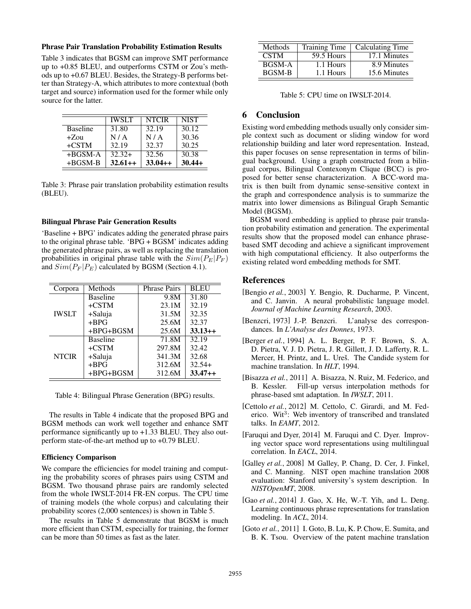#### Phrase Pair Translation Probability Estimation Results

Table 3 indicates that BGSM can improve SMT performance up to +0.85 BLEU, and outperforms CSTM or Zou's methods up to +0.67 BLEU. Besides, the Strategy-B performs better than Strategy-A, which attributes to more contextual (both target and source) information used for the former while only source for the latter.

|                 | <b>IWSLT</b> | <b>NTCIR</b> | <b>NIST</b> |
|-----------------|--------------|--------------|-------------|
| <b>Baseline</b> | 31.80        | 32.19        | 30.12       |
| $+Z$ ou         | N/A          | N/A          | 30.36       |
| $+CSTM$         | 32.19        | 32.37        | 30.25       |
| $+BGSM-A$       | $32.32+$     | 32.56        | 30.38       |
| $+BGSM-B$       | $32.61++$    | $33.04++$    | $30.44+$    |

Table 3: Phrase pair translation probability estimation results (BLEU).

#### Bilingual Phrase Pair Generation Results

'Baseline + BPG' indicates adding the generated phrase pairs to the original phrase table. 'BPG + BGSM' indicates adding the generated phrase pairs, as well as replacing the translation probabilities in original phrase table with the  $Sim(P_E|P_F)$ and  $Sim(P_F|P_E)$  calculated by BGSM (Section 4.1).

| Corpora      | Methods         | <b>Phrase Pairs</b> | <b>BLEU</b> |
|--------------|-----------------|---------------------|-------------|
| <b>IWSLT</b> | <b>Baseline</b> | 9.8M                | 31.80       |
|              | $+CSTM$         | 23.1M               | 32.19       |
|              | +Saluja         | 31.5M               | 32.35       |
|              | $+BPG$          | 25.6M               | 32.37       |
|              | $+BPG+BGSM$     | 25.6M               | $33.13++$   |
| <b>NTCIR</b> | <b>Baseline</b> | 71.8M               | 32.19       |
|              | $+CSTM$         | 297.8M              | 32.42       |
|              | +Saluja         | 341.3M              | 32.68       |
|              | $+BPG$          | 312.6M              | $32.54+$    |
|              | $+BPG+BGSM$     | 312.6M              | $33.47++$   |

Table 4: Bilingual Phrase Generation (BPG) results.

The results in Table 4 indicate that the proposed BPG and BGSM methods can work well together and enhance SMT performance significantly up to +1.33 BLEU. They also outperform state-of-the-art method up to +0.79 BLEU.

#### Efficiency Comparison

We compare the efficiencies for model training and computing the probability scores of phrases pairs using CSTM and BGSM. Two thousand phrase pairs are randomly selected from the whole IWSLT-2014 FR-EN corpus. The CPU time of training models (the whole corpus) and calculating their probability scores (2,000 sentences) is shown in Table 5.

The results in Table 5 demonstrate that BGSM is much more efficient than CSTM, especially for training, the former can be more than 50 times as fast as the later.

| Methods       | <b>Training Time</b> | Calculating Time |
|---------------|----------------------|------------------|
| <b>CSTM</b>   | 59.5 Hours           | 17.1 Minutes     |
| <b>BGSM-A</b> | 1.1 Hours            | 8.9 Minutes      |
| <b>BGSM-B</b> | 1.1 Hours            | 15.6 Minutes     |

Table 5: CPU time on IWSLT-2014.

# 6 Conclusion

Existing word embedding methods usually only consider simple context such as document or sliding window for word relationship building and later word representation. Instead, this paper focuses on sense representation in terms of bilingual background. Using a graph constructed from a bilingual corpus, Bilingual Contexonym Clique (BCC) is proposed for better sense characterization. A BCC-word matrix is then built from dynamic sense-sensitive context in the graph and correspondence analysis is to summarize the matrix into lower dimensions as Bilingual Graph Semantic Model (BGSM).

BGSM word embedding is applied to phrase pair translation probability estimation and generation. The experimental results show that the proposed model can enhance phrasebased SMT decoding and achieve a significant improvement with high computational efficiency. It also outperforms the existing related word embedding methods for SMT.

# References

- [Bengio *et al.*, 2003] Y. Bengio, R. Ducharme, P. Vincent, and C. Janvin. A neural probabilistic language model. *Journal of Machine Learning Research*, 2003.
- [Benzcri, 1973] J.-P. Benzcri. L'analyse des correspondances. In *L'Analyse des Donnes*, 1973.
- [Berger *et al.*, 1994] A. L. Berger, P. F. Brown, S. A. D. Pietra, V. J. D. Pietra, J. R. Gillett, J. D. Lafferty, R. L. Mercer, H. Printz, and L. Ureš. The Candide system for machine translation. In *HLT*, 1994.
- [Bisazza *et al.*, 2011] A. Bisazza, N. Ruiz, M. Federico, and B. Kessler. Fill-up versus interpolation methods for phrase-based smt adaptation. In *IWSLT*, 2011.
- [Cettolo et al., 2012] M. Cettolo, C. Girardi, and M. Federico. Wit<sup>3</sup>: Web inventory of transcribed and translated talks. In *EAMT*, 2012.
- [Faruqui and Dyer, 2014] M. Faruqui and C. Dyer. Improving vector space word representations using multilingual correlation. In *EACL*, 2014.
- [Galley *et al.*, 2008] M Galley, P. Chang, D. Cer, J. Finkel, and C. Manning. NIST open machine translation 2008 evaluation: Stanford university's system description. In *NISTOpenMT*, 2008.
- [Gao *et al.*, 2014] J. Gao, X. He, W.-T. Yih, and L. Deng. Learning continuous phrase representations for translation modeling. In *ACL*, 2014.
- [Goto *et al.*, 2011] I. Goto, B. Lu, K. P. Chow, E. Sumita, and B. K. Tsou. Overview of the patent machine translation